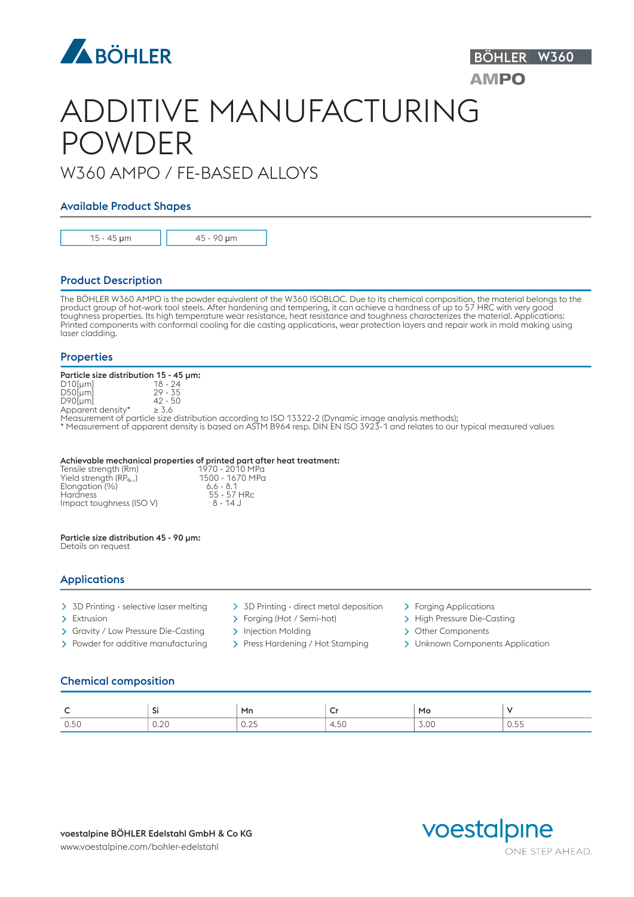

# ADDITIVE MANUFACTURING POWDER

## W360 AMPO / FF-BASED ALLOYS

#### Available Product Shapes

15 - 45 μm 45 - 90 μm

#### Product Description

The BÖHLER W360 AMPO is the powder equivalent of the W360 ISOBLOC. Due to its chemical composition, the material belongs to the product group of hot-work tool steels. After hardening and tempering, it can achieve a hardness of up to 57 HRC with very good toughness properties. Its high temperature wear resistance, heat resistance and toughness characterizes the material. Applications: Printed components with conformal cooling for die casting applications, wear protection layers and repair work in mold making using laser cladding.

#### **Properties**

Particle size distribution 15 - 45 µm:<br>D10[µm]  $18 - 24$ <br>D50[µm]  $29 - 35$  $D10$ [µm]<br> $D50$ [µm] D50[µm] 29 - 35  $D90$ [µm]  $42 - 50$ <br>Apparent density\*  $\geq 3.6$ Apparent density\*

Measurement of particle size distribution according to ISO 13322-2 (Dynamic image analysis methods);

\* Measurement of apparent density is based on ASTM B964 resp. DIN EN ISO 3923-1 and relates to our typical measured values

#### Achievable mechanical properties of printed part after heat treatment:

| Tensile strength (Rm)     | 1970 - 2010 MPa |  |
|---------------------------|-----------------|--|
| Yield strength $(RP_0, )$ | 1500 - 1670 MPa |  |
| Elongation (%)            | $6.6 - 8.1$     |  |
| <b>Hardness</b>           | 55 - 57 HRc     |  |
| Impact toughness (ISO V)  | 8 - 14 J        |  |

#### Particle size distribution 45 - 90 µm:

Details on request

### Applications

- > 3D Printing selective laser melting > 3D Printing direct metal deposition > Forging Applications
- > Extrusion > > Forging (Hot / Semi-hot) > High Pressure Die-Casting
- > Gravity / Low Pressure Die-Castina > Injection Molding  $\rightarrow$  Other Components
- -
	-
- > Powder for additive manufacturing > Press Hardening / Hot Stamping > Unknown Components Application

BÖHLER W360

**AMPO** 

#### Chemical composition

|      | $\overline{\phantom{a}}$<br>-   | Mn                     | ີ<br>__                                   | Mo                                           |                                |
|------|---------------------------------|------------------------|-------------------------------------------|----------------------------------------------|--------------------------------|
| 0.50 | 120<br>$\cup$ . $\sim$<br>$  -$ | .05<br>$\cup$ . $\cup$ | $\sim$ $\sim$<br>$\sim$<br>≖<br>᠇.◡◡<br>. | $\sim$<br>$\cup\!\!\!\cdot\!\!\cup\cup$<br>. | $\sim$ $ -$<br>$\cup$ . $\cup$ |